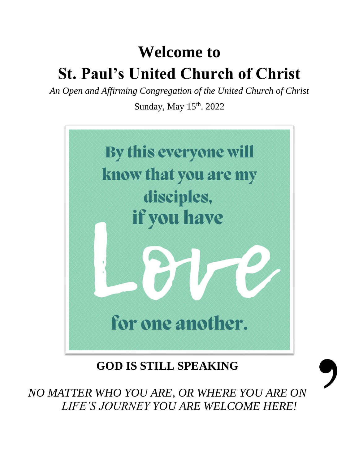# **Welcome to St. Paul's United Church of Christ**

*An Open and Affirming Congregation of the United Church of Christ*

Sunday, May  $15<sup>th</sup>$ . 2022



**GOD IS STILL SPEAKING**

*NO MATTER WHO YOU ARE, OR WHERE YOU ARE ON LIFE'S JOURNEY YOU ARE WELCOME HERE!*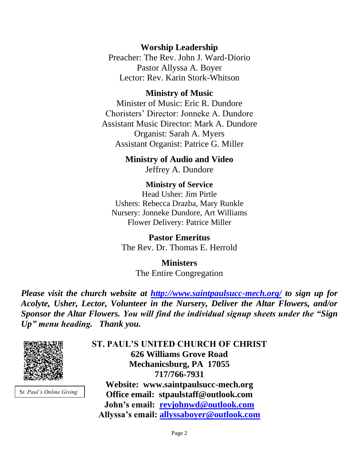### **Worship Leadership**

Preacher: The Rev. John J. Ward-Diorio Pastor Allyssa A. Boyer Lector: Rev. Karin Stork-Whitson

#### **Ministry of Music**

Minister of Music: Eric R. Dundore Choristers' Director: Jonneke A. Dundore Assistant Music Director: Mark A. Dundore Organist: Sarah A. Myers Assistant Organist: Patrice G. Miller

> **Ministry of Audio and Video**  Jeffrey A. Dundore

**Ministry of Service** Head Usher: Jim Pirtle Ushers: Rebecca Drazba, Mary Runkle Nursery: Jonneke Dundore, Art Williams Flower Delivery: Patrice Miller

**Pastor Emeritus** The Rev. Dr. Thomas E. Herrold

> **Ministers** The Entire Congregation

*Please visit the church website at <http://www.saintpaulsucc-mech.org/> to sign up for Acolyte, Usher, Lector, Volunteer in the Nursery, Deliver the Altar Flowers, and/or Sponsor the Altar Flowers. You will find the individual signup sheets under the "Sign Up" menu heading. Thank you.*



S*t. Paul's Online Giving*

**ST. PAUL'S UNITED CHURCH OF CHRIST 626 Williams Grove Road Mechanicsburg, PA 17055 717/766-7931 Website: www.saintpaulsucc-mech.org Office email: stpaulstaff@outlook.com John's email: [revjohnwd@outlook.com](mailto:revjohnwd@outlook.com) Allyssa's email: [allyssaboyer@outlook.com](mailto:allyssaboyer@outlook.com)**

Page 2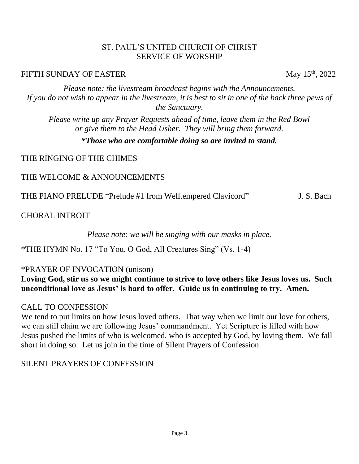#### ST. PAUL'S UNITED CHURCH OF CHRIST SERVICE OF WORSHIP

#### FIFTH SUNDAY OF EASTER May 15<sup>th</sup>, 2022

*Please note: the livestream broadcast begins with the Announcements. If you do not wish to appear in the livestream, it is best to sit in one of the back three pews of the Sanctuary.*

*Please write up any Prayer Requests ahead of time, leave them in the Red Bowl or give them to the Head Usher. They will bring them forward.*

#### *\*Those who are comfortable doing so are invited to stand.*

### THE RINGING OF THE CHIMES

#### THE WELCOME & ANNOUNCEMENTS

THE PIANO PRELUDE "Prelude #1 from Welltempered Clavicord" J. S. Bach

CHORAL INTROIT

*Please note: we will be singing with our masks in place.*

\*THE HYMN No. 17 "To You, O God, All Creatures Sing" (Vs. 1-4)

### \*PRAYER OF INVOCATION (unison)

## **Loving God, stir us so we might continue to strive to love others like Jesus loves us. Such unconditional love as Jesus' is hard to offer. Guide us in continuing to try. Amen.**

### CALL TO CONFESSION

We tend to put limits on how Jesus loved others. That way when we limit our love for others, we can still claim we are following Jesus' commandment. Yet Scripture is filled with how Jesus pushed the limits of who is welcomed, who is accepted by God, by loving them. We fall short in doing so. Let us join in the time of Silent Prayers of Confession.

# SILENT PRAYERS OF CONFESSION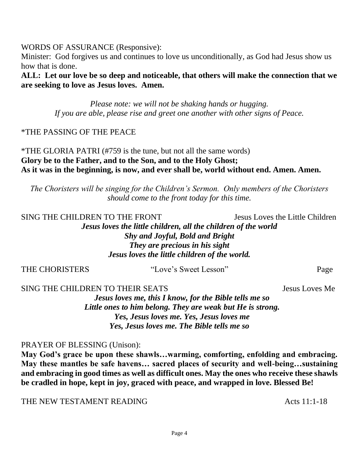WORDS OF ASSURANCE (Responsive):

Minister: God forgives us and continues to love us unconditionally, as God had Jesus show us how that is done.

**ALL: Let our love be so deep and noticeable, that others will make the connection that we are seeking to love as Jesus loves. Amen.** 

> *Please note: we will not be shaking hands or hugging. If you are able, please rise and greet one another with other signs of Peace.*

#### \*THE PASSING OF THE PEACE

\*THE GLORIA PATRI (#759 is the tune, but not all the same words) **Glory be to the Father, and to the Son, and to the Holy Ghost; As it was in the beginning, is now, and ever shall be, world without end. Amen. Amen.**

*The Choristers will be singing for the Children's Sermon. Only members of the Choristers should come to the front today for this time.*

SING THE CHILDREN TO THE FRONT Jesus Loves the Little Children *Jesus loves the little children, all the children of the world Shy and Joyful, Bold and Bright They are precious in his sight Jesus loves the little children of the world.*

| Jesus Loves Me |
|----------------|
| Page           |
|                |

*Little ones to him belong. They are weak but He is strong. Yes, Jesus loves me. Yes, Jesus loves me Yes, Jesus loves me. The Bible tells me so*

#### PRAYER OF BLESSING (Unison):

**May God's grace be upon these shawls…warming, comforting, enfolding and embracing. May these mantles be safe havens… sacred places of security and well-being…sustaining and embracing in good times as well as difficult ones. May the ones who receive these shawls be cradled in hope, kept in joy, graced with peace, and wrapped in love. Blessed Be!** 

THE NEW TESTAMENT READING THE SACTE ACTS 11:1-18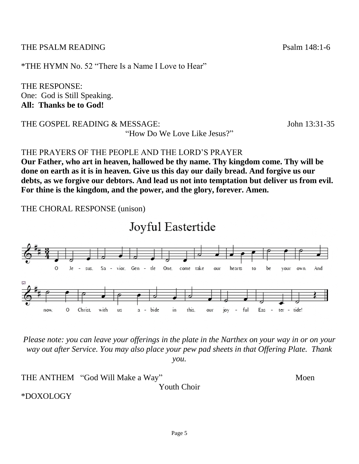THE PSALM READING Psalm 148:1-6

\*THE HYMN No. 52 "There Is a Name I Love to Hear"

THE RESPONSE: One: God is Still Speaking. **All: Thanks be to God!** 

THE GOSPEL READING & MESSAGE: John 13:31-35

"How Do We Love Like Jesus?"

THE PRAYERS OF THE PEOPLE AND THE LORD'S PRAYER

**Our Father, who art in heaven, hallowed be thy name. Thy kingdom come. Thy will be done on earth as it is in heaven. Give us this day our daily bread. And forgive us our debts, as we forgive our debtors. And lead us not into temptation but deliver us from evil. For thine is the kingdom, and the power, and the glory, forever. Amen.**

THE CHORAL RESPONSE (unison)

Joyful Eastertide



*Please note: you can leave your offerings in the plate in the Narthex on your way in or on your way out after Service. You may also place your pew pad sheets in that Offering Plate. Thank you.* 

THE ANTHEM "God Will Make a Way" Moen Youth Choir \*DOXOLOGY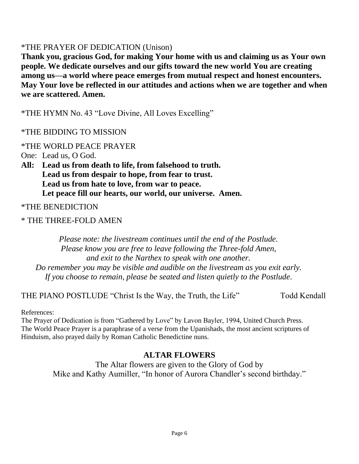### \*THE PRAYER OF DEDICATION (Unison)

**Thank you, gracious God, for making Your home with us and claiming us as Your own people. We dedicate ourselves and our gifts toward the new world You are creating among us—a world where peace emerges from mutual respect and honest encounters. May Your love be reflected in our attitudes and actions when we are together and when we are scattered. Amen.** 

\*THE HYMN No. 43 "Love Divine, All Loves Excelling"

\*THE BIDDING TO MISSION

\*THE WORLD PEACE PRAYER

One: Lead us, O God.

**All: Lead us from death to life, from falsehood to truth. Lead us from despair to hope, from fear to trust. Lead us from hate to love, from war to peace. Let peace fill our hearts, our world, our universe. Amen.**

\*THE BENEDICTION

\* THE THREE-FOLD AMEN

*Please note: the livestream continues until the end of the Postlude. Please know you are free to leave following the Three-fold Amen, and exit to the Narthex to speak with one another. Do remember you may be visible and audible on the livestream as you exit early. If you choose to remain, please be seated and listen quietly to the Postlude.*

THE PIANO POSTLUDE "Christ Is the Way, the Truth, the Life" Todd Kendall

References:

The Prayer of Dedication is from "Gathered by Love" by Lavon Bayler, 1994, United Church Press. The World Peace Prayer is a paraphrase of a verse from the Upanishads, the most ancient scriptures of Hinduism, also prayed daily by Roman Catholic Benedictine nuns.

# **ALTAR FLOWERS**

The Altar flowers are given to the Glory of God by Mike and Kathy Aumiller, "In honor of Aurora Chandler's second birthday."